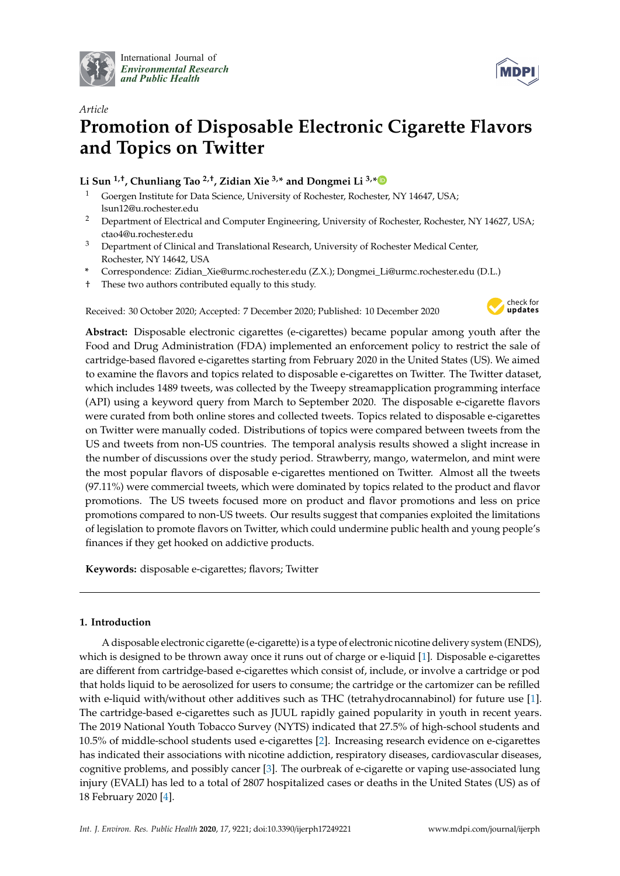

International Journal of *[Environmental Research](http://www.mdpi.com/journal/ijerph) and Public Health*



# *Article* **Promotion of Disposable Electronic Cigarette Flavors and Topics on Twitter**

# **Li Sun 1,**† **, Chunliang Tao 2,**† **, Zidian Xie 3,\* and Dongmei Li 3,[\\*](https://orcid.org/0000-0001-9140-2483)**

- Goergen Institute for Data Science, University of Rochester, Rochester, NY 14647, USA; lsun12@u.rochester.edu
- <sup>2</sup> Department of Electrical and Computer Engineering, University of Rochester, Rochester, NY 14627, USA; ctao4@u.rochester.edu
- <sup>3</sup> Department of Clinical and Translational Research, University of Rochester Medical Center, Rochester, NY 14642, USA
- **\*** Correspondence: Zidian\_Xie@urmc.rochester.edu (Z.X.); Dongmei\_Li@urmc.rochester.edu (D.L.)
- † These two authors contributed equally to this study.

Received: 30 October 2020; Accepted: 7 December 2020; Published: 10 December 2020



**Abstract:** Disposable electronic cigarettes (e-cigarettes) became popular among youth after the Food and Drug Administration (FDA) implemented an enforcement policy to restrict the sale of cartridge-based flavored e-cigarettes starting from February 2020 in the United States (US). We aimed to examine the flavors and topics related to disposable e-cigarettes on Twitter. The Twitter dataset, which includes 1489 tweets, was collected by the Tweepy streamapplication programming interface (API) using a keyword query from March to September 2020. The disposable e-cigarette flavors were curated from both online stores and collected tweets. Topics related to disposable e-cigarettes on Twitter were manually coded. Distributions of topics were compared between tweets from the US and tweets from non-US countries. The temporal analysis results showed a slight increase in the number of discussions over the study period. Strawberry, mango, watermelon, and mint were the most popular flavors of disposable e-cigarettes mentioned on Twitter. Almost all the tweets (97.11%) were commercial tweets, which were dominated by topics related to the product and flavor promotions. The US tweets focused more on product and flavor promotions and less on price promotions compared to non-US tweets. Our results suggest that companies exploited the limitations of legislation to promote flavors on Twitter, which could undermine public health and young people's finances if they get hooked on addictive products.

**Keywords:** disposable e-cigarettes; flavors; Twitter

# **1. Introduction**

A disposable electronic cigarette (e-cigarette) is a type of electronic nicotine delivery system (ENDS), which is designed to be thrown away once it runs out of charge or e-liquid [\[1\]](#page-6-0). Disposable e-cigarettes are different from cartridge-based e-cigarettes which consist of, include, or involve a cartridge or pod that holds liquid to be aerosolized for users to consume; the cartridge or the cartomizer can be refilled with e-liquid with/without other additives such as THC (tetrahydrocannabinol) for future use [\[1\]](#page-6-0). The cartridge-based e-cigarettes such as JUUL rapidly gained popularity in youth in recent years. The 2019 National Youth Tobacco Survey (NYTS) indicated that 27.5% of high-school students and 10.5% of middle-school students used e-cigarettes [\[2\]](#page-6-1). Increasing research evidence on e-cigarettes has indicated their associations with nicotine addiction, respiratory diseases, cardiovascular diseases, cognitive problems, and possibly cancer [\[3\]](#page-6-2). The ourbreak of e-cigarette or vaping use-associated lung injury (EVALI) has led to a total of 2807 hospitalized cases or deaths in the United States (US) as of 18 February 2020 [\[4\]](#page-6-3).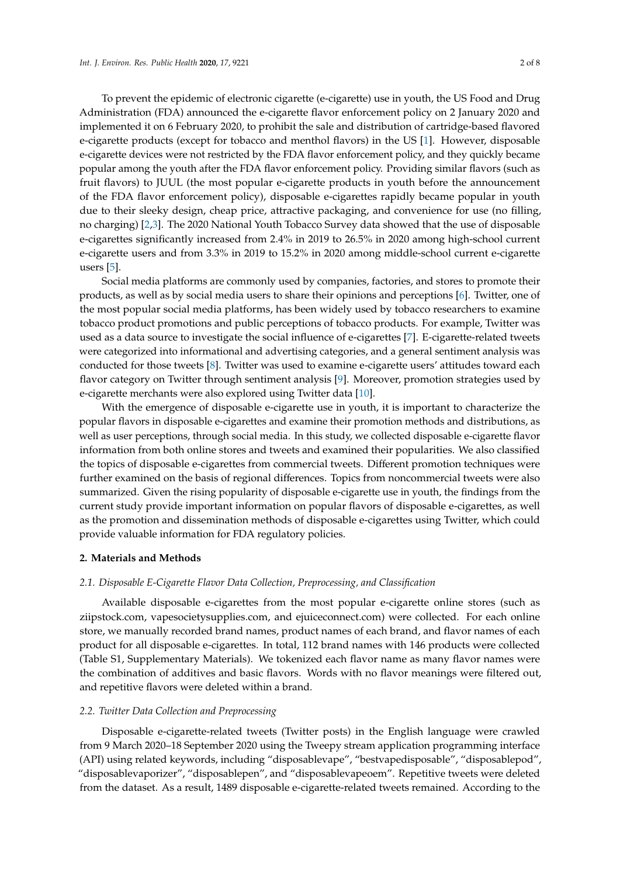To prevent the epidemic of electronic cigarette (e-cigarette) use in youth, the US Food and Drug Administration (FDA) announced the e-cigarette flavor enforcement policy on 2 January 2020 and implemented it on 6 February 2020, to prohibit the sale and distribution of cartridge-based flavored e-cigarette products (except for tobacco and menthol flavors) in the US [\[1\]](#page-6-0). However, disposable e-cigarette devices were not restricted by the FDA flavor enforcement policy, and they quickly became popular among the youth after the FDA flavor enforcement policy. Providing similar flavors (such as fruit flavors) to JUUL (the most popular e-cigarette products in youth before the announcement of the FDA flavor enforcement policy), disposable e-cigarettes rapidly became popular in youth due to their sleeky design, cheap price, attractive packaging, and convenience for use (no filling, no charging) [\[2](#page-6-1)[,3\]](#page-6-2). The 2020 National Youth Tobacco Survey data showed that the use of disposable e-cigarettes significantly increased from 2.4% in 2019 to 26.5% in 2020 among high-school current e-cigarette users and from 3.3% in 2019 to 15.2% in 2020 among middle-school current e-cigarette users [\[5\]](#page-6-4).

Social media platforms are commonly used by companies, factories, and stores to promote their products, as well as by social media users to share their opinions and perceptions [\[6\]](#page-6-5). Twitter, one of the most popular social media platforms, has been widely used by tobacco researchers to examine tobacco product promotions and public perceptions of tobacco products. For example, Twitter was used as a data source to investigate the social influence of e-cigarettes [\[7\]](#page-6-6). E-cigarette-related tweets were categorized into informational and advertising categories, and a general sentiment analysis was conducted for those tweets [\[8\]](#page-6-7). Twitter was used to examine e-cigarette users' attitudes toward each flavor category on Twitter through sentiment analysis [\[9\]](#page-6-8). Moreover, promotion strategies used by e-cigarette merchants were also explored using Twitter data [\[10\]](#page-6-9).

With the emergence of disposable e-cigarette use in youth, it is important to characterize the popular flavors in disposable e-cigarettes and examine their promotion methods and distributions, as well as user perceptions, through social media. In this study, we collected disposable e-cigarette flavor information from both online stores and tweets and examined their popularities. We also classified the topics of disposable e-cigarettes from commercial tweets. Different promotion techniques were further examined on the basis of regional differences. Topics from noncommercial tweets were also summarized. Given the rising popularity of disposable e-cigarette use in youth, the findings from the current study provide important information on popular flavors of disposable e-cigarettes, as well as the promotion and dissemination methods of disposable e-cigarettes using Twitter, which could provide valuable information for FDA regulatory policies.

#### **2. Materials and Methods**

#### *2.1. Disposable E-Cigarette Flavor Data Collection, Preprocessing, and Classification*

Available disposable e-cigarettes from the most popular e-cigarette online stores (such as ziipstock.com, vapesocietysupplies.com, and ejuiceconnect.com) were collected. For each online store, we manually recorded brand names, product names of each brand, and flavor names of each product for all disposable e-cigarettes. In total, 112 brand names with 146 products were collected (Table S1, Supplementary Materials). We tokenized each flavor name as many flavor names were the combination of additives and basic flavors. Words with no flavor meanings were filtered out, and repetitive flavors were deleted within a brand.

### *2.2. Twitter Data Collection and Preprocessing*

Disposable e-cigarette-related tweets (Twitter posts) in the English language were crawled from 9 March 2020–18 September 2020 using the Tweepy stream application programming interface (API) using related keywords, including "disposablevape", "bestvapedisposable", "disposablepod", "disposablevaporizer", "disposablepen", and "disposablevapeoem". Repetitive tweets were deleted from the dataset. As a result, 1489 disposable e-cigarette-related tweets remained. According to the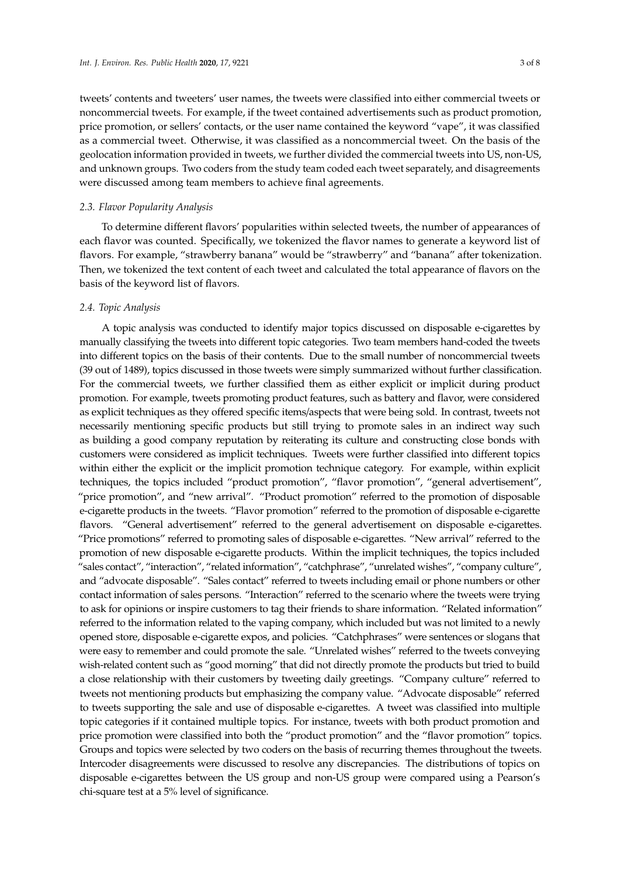tweets' contents and tweeters' user names, the tweets were classified into either commercial tweets or noncommercial tweets. For example, if the tweet contained advertisements such as product promotion, price promotion, or sellers' contacts, or the user name contained the keyword "vape", it was classified as a commercial tweet. Otherwise, it was classified as a noncommercial tweet. On the basis of the geolocation information provided in tweets, we further divided the commercial tweets into US, non-US, and unknown groups. Two coders from the study team coded each tweet separately, and disagreements were discussed among team members to achieve final agreements.

### *2.3. Flavor Popularity Analysis*

To determine different flavors' popularities within selected tweets, the number of appearances of each flavor was counted. Specifically, we tokenized the flavor names to generate a keyword list of flavors. For example, "strawberry banana" would be "strawberry" and "banana" after tokenization. Then, we tokenized the text content of each tweet and calculated the total appearance of flavors on the basis of the keyword list of flavors.

## *2.4. Topic Analysis*

A topic analysis was conducted to identify major topics discussed on disposable e-cigarettes by manually classifying the tweets into different topic categories. Two team members hand-coded the tweets into different topics on the basis of their contents. Due to the small number of noncommercial tweets (39 out of 1489), topics discussed in those tweets were simply summarized without further classification. For the commercial tweets, we further classified them as either explicit or implicit during product promotion. For example, tweets promoting product features, such as battery and flavor, were considered as explicit techniques as they offered specific items/aspects that were being sold. In contrast, tweets not necessarily mentioning specific products but still trying to promote sales in an indirect way such as building a good company reputation by reiterating its culture and constructing close bonds with customers were considered as implicit techniques. Tweets were further classified into different topics within either the explicit or the implicit promotion technique category. For example, within explicit techniques, the topics included "product promotion", "flavor promotion", "general advertisement", "price promotion", and "new arrival". "Product promotion" referred to the promotion of disposable e-cigarette products in the tweets. "Flavor promotion" referred to the promotion of disposable e-cigarette flavors. "General advertisement" referred to the general advertisement on disposable e-cigarettes. "Price promotions" referred to promoting sales of disposable e-cigarettes. "New arrival" referred to the promotion of new disposable e-cigarette products. Within the implicit techniques, the topics included "sales contact", "interaction", "related information", "catchphrase", "unrelated wishes", "company culture", and "advocate disposable". "Sales contact" referred to tweets including email or phone numbers or other contact information of sales persons. "Interaction" referred to the scenario where the tweets were trying to ask for opinions or inspire customers to tag their friends to share information. "Related information" referred to the information related to the vaping company, which included but was not limited to a newly opened store, disposable e-cigarette expos, and policies. "Catchphrases" were sentences or slogans that were easy to remember and could promote the sale. "Unrelated wishes" referred to the tweets conveying wish-related content such as "good morning" that did not directly promote the products but tried to build a close relationship with their customers by tweeting daily greetings. "Company culture" referred to tweets not mentioning products but emphasizing the company value. "Advocate disposable" referred to tweets supporting the sale and use of disposable e-cigarettes. A tweet was classified into multiple topic categories if it contained multiple topics. For instance, tweets with both product promotion and price promotion were classified into both the "product promotion" and the "flavor promotion" topics. Groups and topics were selected by two coders on the basis of recurring themes throughout the tweets. Intercoder disagreements were discussed to resolve any discrepancies. The distributions of topics on disposable e-cigarettes between the US group and non-US group were compared using a Pearson's chi-square test at a 5% level of significance.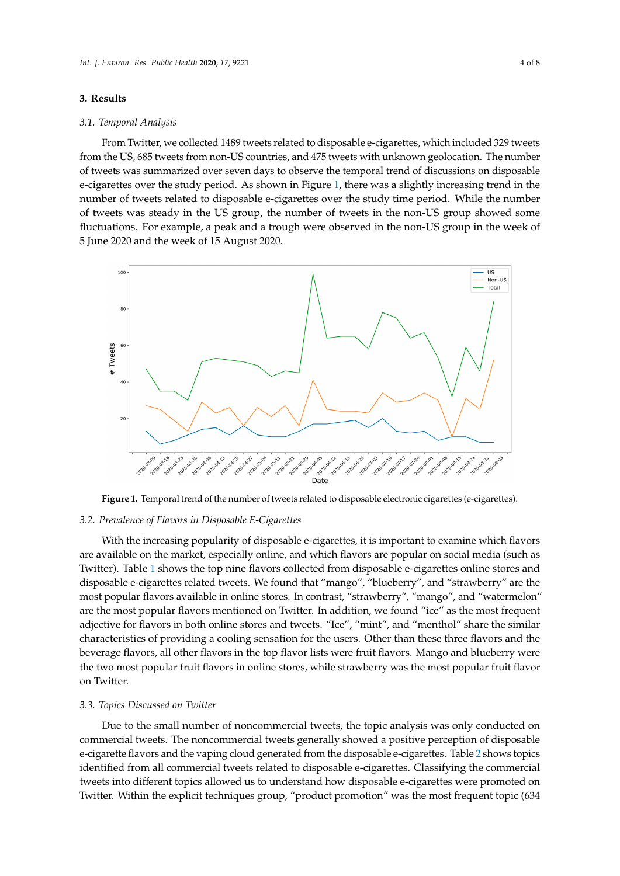#### **3. Results 3. Results**

# *3.1. Temporal Analysis 3.1. Temporal Analysis*

From Twitter, we collected 1489 tweets related to disposable e-cigarettes, which included 329 tweets From Twitter, we collected 1489 tweets related to disposable e-cigarettes, which included 329 from the US, 685 tweets from non-US countries, and 475 tweets with unknown geolocation. The number of tweets was summarized over seven days to observe the temporal trend of discussions on disposable e-cigarettes over the study period. As sho[w](#page-3-0)n in Figure 1, there was a slightly increasing trend in the number of tweets related to disposable e-cigarettes over the study time period. While the number of tweets was steady in the US group, the number of tweets in the non-US group showed some fluctuations. For example, a peak and a trough were observed in the non-US group in the week of 5 June 2020 and the week of 15 August 2020. of 5 June 2020 and the week of 15 August 2020.

<span id="page-3-0"></span>

**Figure 1.** Temporal trend of the number of tweets related to disposable electronic cigarettes (e-**Figure 1.** Temporal trend of the number of tweets related to disposable electronic cigarettes (e-cigarettes).

#### cigarettes). *3.2. Prevalence of Flavors in Disposable E-Cigarettes*

With the increasing popularity of disposable e-cigarettes, it is important to examine which flavors are available on the market, especially online, and which flavors are popular on social media (such as Twitter). Table 1 shows the top nine flavors collected from disposable e-cigarettes online stores and disposable e-cigarettes related tweets. We found that "mango", "blueberry", and "strawberry" are the most popular flavors available in online stores. In contrast, "strawberry", "mango", and "watermelon" are the most popular flavors mentioned on Twitter. In addition, we found "ice" as the most frequent adjective for flavors in both online stores and tweets. "Ice", "mint", and "menthol" share the similar characteristics of providing a cooling sensation for the users. Other than these three flavors and the beverage flavors, all other flavors in the top flavor lists were fruit flavors. Mango and blueberry were the two most popular fruit flavors in online stores, while strawberry was the most popular fruit flavor for  $\mathbf{I}$  and  $\mathbf{I}$  and blue berry were the two most popular flavors in online stores, while stores, while stores, while stores, while stores, while stores, while stores, while stores, while stores, while stores, wh on Twitter.

# 3.3. Topics Discussed on Twitter<sup>.</sup>

Due to the small number of noncommercial tweets, the topic analysis was only conducted on commercial tweets. The noncommercial tweets generally showed a positive perception of disposable e-cigarette flavors and the vaping cloud generated from the disposable e-cigarettes. Table [2](#page-4-1) shows topics identified from all commercial tweets related to disposable e-cigarettes. Classifying the commercial tweets into different topics allowed us to understand how disposable e-cigarettes were promoted on Twitter. Within the explicit techniques group, "product promotion" was the most frequent topic (634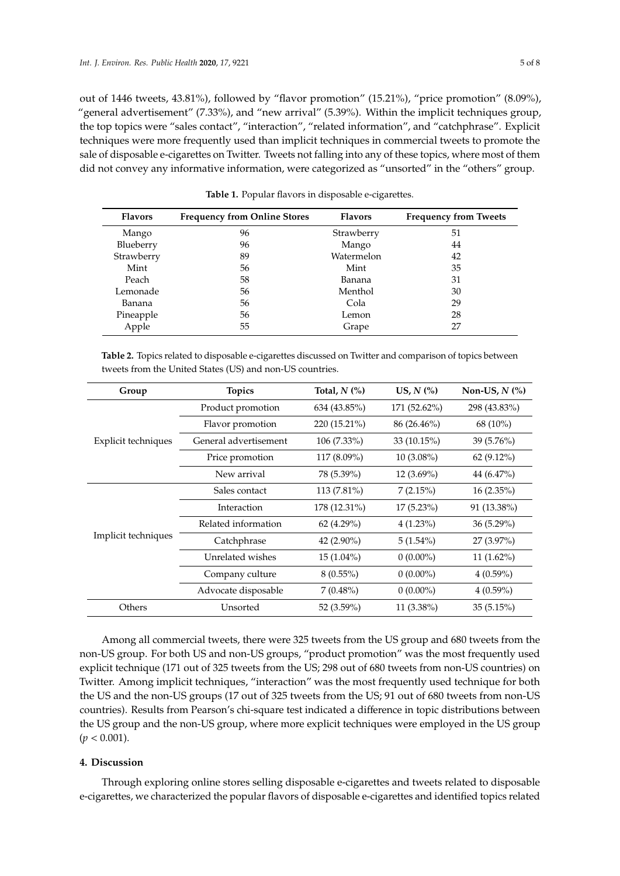out of 1446 tweets, 43.81%), followed by "flavor promotion" (15.21%), "price promotion" (8.09%), "general advertisement" (7.33%), and "new arrival" (5.39%). Within the implicit techniques group, the top topics were "sales contact", "interaction", "related information", and "catchphrase". Explicit techniques were more frequently used than implicit techniques in commercial tweets to promote the sale of disposable e-cigarettes on Twitter. Tweets not falling into any of these topics, where most of them did not convey any informative information, were categorized as "unsorted" in the "others" group.

<span id="page-4-0"></span>

| <b>Flavors</b> | <b>Frequency from Online Stores</b> | <b>Flavors</b><br><b>Frequency from Tweets</b> |    |
|----------------|-------------------------------------|------------------------------------------------|----|
| Mango          | 96                                  | Strawberry                                     | 51 |
| Blueberry      | 96                                  | Mango                                          | 44 |
| Strawberry     | 89                                  | Watermelon                                     | 42 |
| Mint           | 56                                  | Mint                                           | 35 |
| Peach          | 58                                  | Banana                                         | 31 |
| Lemonade       | 56                                  | Menthol                                        | 30 |
| Banana         | 56                                  | Cola                                           | 29 |
| Pineapple      | 56                                  | Lemon                                          | 28 |
| Apple          | 55                                  | Grape                                          | 27 |

**Table 1.** Popular flavors in disposable e-cigarettes.

<span id="page-4-1"></span>**Table 2.** Topics related to disposable e-cigarettes discussed on Twitter and comparison of topics between tweets from the United States (US) and non-US countries.

| Group               | <b>Topics</b>         | Total, $N$ $\left(\frac{9}{6}\right)$ | US, $N$ $\left(\% \right)$ | Non-US, $N$ (%) |
|---------------------|-----------------------|---------------------------------------|----------------------------|-----------------|
|                     | Product promotion     | 634 (43.85%)                          | 171 (52.62%)               | 298 (43.83%)    |
|                     | Flavor promotion      | 220 (15.21%)                          | $86(26.46\%)$              | 68 $(10\%)$     |
| Explicit techniques | General advertisement | $106(7.33\%)$                         | 33 (10.15%)                | 39 (5.76%)      |
|                     | Price promotion       | $117(8.09\%)$                         | $10(3.08\%)$               | $62(9.12\%)$    |
|                     | New arrival           | 78 (5.39%)                            | $12(3.69\%)$               | 44 (6.47%)      |
|                     | Sales contact         | 113 (7.81%)                           | 7(2.15%)                   | $16(2.35\%)$    |
|                     | Interaction           | 178 (12.31%)                          | $17(5.23\%)$               | 91 (13.38%)     |
| Implicit techniques | Related information   | 62(4.29%)                             | $4(1.23\%)$                | $36(5.29\%)$    |
|                     | Catchphrase           | 42 $(2.90\%)$                         | $5(1.54\%)$                | 27 (3.97%)      |
|                     | Unrelated wishes      | $15(1.04\%)$                          | $0(0.00\%)$                | 11 (1.62%)      |
|                     | Company culture       | $8(0.55\%)$                           | $0(0.00\%)$                | $4(0.59\%)$     |
|                     | Advocate disposable   | $7(0.48\%)$                           | $0(0.00\%)$                | $4(0.59\%)$     |
| Others              | Unsorted              | 52 $(3.59\%)$                         | $11(3.38\%)$               | 35(5.15%)       |

Among all commercial tweets, there were 325 tweets from the US group and 680 tweets from the non-US group. For both US and non-US groups, "product promotion" was the most frequently used explicit technique (171 out of 325 tweets from the US; 298 out of 680 tweets from non-US countries) on Twitter. Among implicit techniques, "interaction" was the most frequently used technique for both the US and the non-US groups (17 out of 325 tweets from the US; 91 out of 680 tweets from non-US countries). Results from Pearson's chi-square test indicated a difference in topic distributions between the US group and the non-US group, where more explicit techniques were employed in the US group  $(p < 0.001)$ .

#### **4. Discussion**

Through exploring online stores selling disposable e-cigarettes and tweets related to disposable e-cigarettes, we characterized the popular flavors of disposable e-cigarettes and identified topics related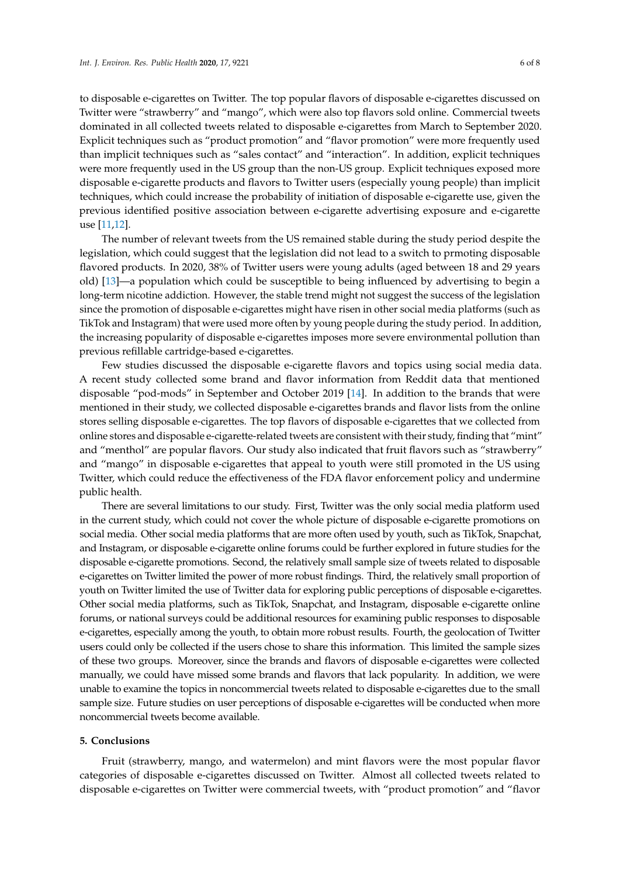to disposable e-cigarettes on Twitter. The top popular flavors of disposable e-cigarettes discussed on Twitter were "strawberry" and "mango", which were also top flavors sold online. Commercial tweets dominated in all collected tweets related to disposable e-cigarettes from March to September 2020. Explicit techniques such as "product promotion" and "flavor promotion" were more frequently used than implicit techniques such as "sales contact" and "interaction". In addition, explicit techniques were more frequently used in the US group than the non-US group. Explicit techniques exposed more disposable e-cigarette products and flavors to Twitter users (especially young people) than implicit techniques, which could increase the probability of initiation of disposable e-cigarette use, given the previous identified positive association between e-cigarette advertising exposure and e-cigarette use [\[11](#page-6-10)[,12\]](#page-7-0).

The number of relevant tweets from the US remained stable during the study period despite the legislation, which could suggest that the legislation did not lead to a switch to prmoting disposable flavored products. In 2020, 38% of Twitter users were young adults (aged between 18 and 29 years old) [\[13\]](#page-7-1)—a population which could be susceptible to being influenced by advertising to begin a long-term nicotine addiction. However, the stable trend might not suggest the success of the legislation since the promotion of disposable e-cigarettes might have risen in other social media platforms (such as TikTok and Instagram) that were used more often by young people during the study period. In addition, the increasing popularity of disposable e-cigarettes imposes more severe environmental pollution than previous refillable cartridge-based e-cigarettes.

Few studies discussed the disposable e-cigarette flavors and topics using social media data. A recent study collected some brand and flavor information from Reddit data that mentioned disposable "pod-mods" in September and October 2019 [\[14\]](#page-7-2). In addition to the brands that were mentioned in their study, we collected disposable e-cigarettes brands and flavor lists from the online stores selling disposable e-cigarettes. The top flavors of disposable e-cigarettes that we collected from online stores and disposable e-cigarette-related tweets are consistent with their study, finding that "mint" and "menthol" are popular flavors. Our study also indicated that fruit flavors such as "strawberry" and "mango" in disposable e-cigarettes that appeal to youth were still promoted in the US using Twitter, which could reduce the effectiveness of the FDA flavor enforcement policy and undermine public health.

There are several limitations to our study. First, Twitter was the only social media platform used in the current study, which could not cover the whole picture of disposable e-cigarette promotions on social media. Other social media platforms that are more often used by youth, such as TikTok, Snapchat, and Instagram, or disposable e-cigarette online forums could be further explored in future studies for the disposable e-cigarette promotions. Second, the relatively small sample size of tweets related to disposable e-cigarettes on Twitter limited the power of more robust findings. Third, the relatively small proportion of youth on Twitter limited the use of Twitter data for exploring public perceptions of disposable e-cigarettes. Other social media platforms, such as TikTok, Snapchat, and Instagram, disposable e-cigarette online forums, or national surveys could be additional resources for examining public responses to disposable e-cigarettes, especially among the youth, to obtain more robust results. Fourth, the geolocation of Twitter users could only be collected if the users chose to share this information. This limited the sample sizes of these two groups. Moreover, since the brands and flavors of disposable e-cigarettes were collected manually, we could have missed some brands and flavors that lack popularity. In addition, we were unable to examine the topics in noncommercial tweets related to disposable e-cigarettes due to the small sample size. Future studies on user perceptions of disposable e-cigarettes will be conducted when more noncommercial tweets become available.

#### **5. Conclusions**

Fruit (strawberry, mango, and watermelon) and mint flavors were the most popular flavor categories of disposable e-cigarettes discussed on Twitter. Almost all collected tweets related to disposable e-cigarettes on Twitter were commercial tweets, with "product promotion" and "flavor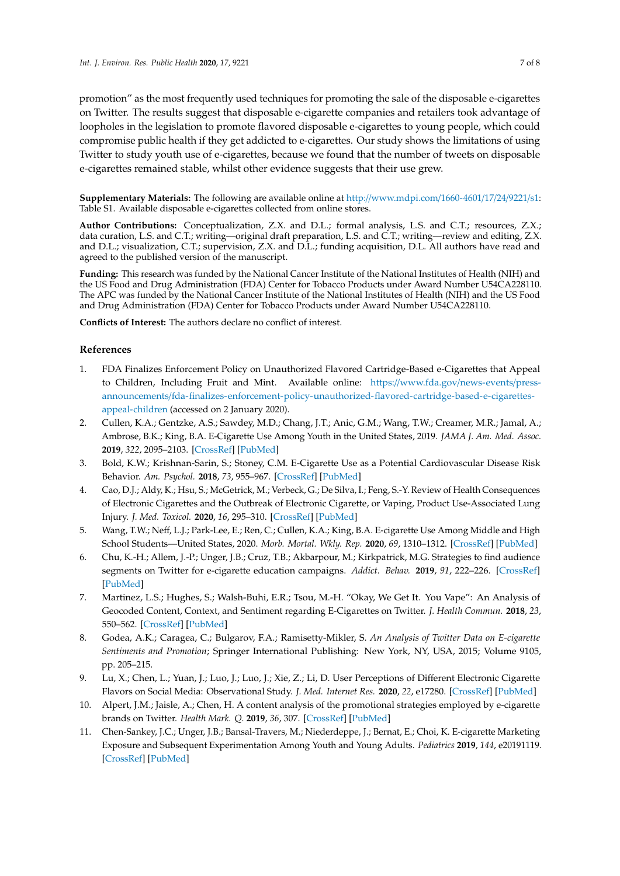promotion" as the most frequently used techniques for promoting the sale of the disposable e-cigarettes on Twitter. The results suggest that disposable e-cigarette companies and retailers took advantage of loopholes in the legislation to promote flavored disposable e-cigarettes to young people, which could compromise public health if they get addicted to e-cigarettes. Our study shows the limitations of using Twitter to study youth use of e-cigarettes, because we found that the number of tweets on disposable e-cigarettes remained stable, whilst other evidence suggests that their use grew.

**Supplementary Materials:** The following are available online at http://[www.mdpi.com](http://www.mdpi.com/1660-4601/17/24/9221/s1)/1660-4601/17/24/9221/s1: Table S1. Available disposable e-cigarettes collected from online stores.

**Author Contributions:** Conceptualization, Z.X. and D.L.; formal analysis, L.S. and C.T.; resources, Z.X.; data curation, L.S. and C.T.; writing—original draft preparation, L.S. and C.T.; writing—review and editing, Z.X. and D.L.; visualization, C.T.; supervision, Z.X. and D.L.; funding acquisition, D.L. All authors have read and agreed to the published version of the manuscript.

**Funding:** This research was funded by the National Cancer Institute of the National Institutes of Health (NIH) and the US Food and Drug Administration (FDA) Center for Tobacco Products under Award Number U54CA228110. The APC was funded by the National Cancer Institute of the National Institutes of Health (NIH) and the US Food and Drug Administration (FDA) Center for Tobacco Products under Award Number U54CA228110.

**Conflicts of Interest:** The authors declare no conflict of interest.

## **References**

- <span id="page-6-0"></span>1. FDA Finalizes Enforcement Policy on Unauthorized Flavored Cartridge-Based e-Cigarettes that Appeal to Children, Including Fruit and Mint. Available online: https://[www.fda.gov](https://www.fda.gov/news-events/press-announcements/fda-finalizes-enforcement-policy-unauthorized-flavored-cartridge-based-e-cigarettes-appeal-children)/news-events/pressannouncements/[fda-finalizes-enforcement-policy-unauthorized-flavored-cartridge-based-e-cigarettes](https://www.fda.gov/news-events/press-announcements/fda-finalizes-enforcement-policy-unauthorized-flavored-cartridge-based-e-cigarettes-appeal-children)[appeal-children](https://www.fda.gov/news-events/press-announcements/fda-finalizes-enforcement-policy-unauthorized-flavored-cartridge-based-e-cigarettes-appeal-children) (accessed on 2 January 2020).
- <span id="page-6-1"></span>2. Cullen, K.A.; Gentzke, A.S.; Sawdey, M.D.; Chang, J.T.; Anic, G.M.; Wang, T.W.; Creamer, M.R.; Jamal, A.; Ambrose, B.K.; King, B.A. E-Cigarette Use Among Youth in the United States, 2019. *JAMA J. Am. Med. Assoc.* **2019**, *322*, 2095–2103. [\[CrossRef\]](http://dx.doi.org/10.1001/jama.2019.18387) [\[PubMed\]](http://www.ncbi.nlm.nih.gov/pubmed/31688912)
- <span id="page-6-2"></span>3. Bold, K.W.; Krishnan-Sarin, S.; Stoney, C.M. E-Cigarette Use as a Potential Cardiovascular Disease Risk Behavior. *Am. Psychol.* **2018**, *73*, 955–967. [\[CrossRef\]](http://dx.doi.org/10.1037/amp0000231) [\[PubMed\]](http://www.ncbi.nlm.nih.gov/pubmed/30394775)
- <span id="page-6-3"></span>4. Cao, D.J.; Aldy, K.; Hsu, S.; McGetrick, M.; Verbeck, G.; De Silva, I.; Feng, S.-Y. Review of Health Consequences of Electronic Cigarettes and the Outbreak of Electronic Cigarette, or Vaping, Product Use-Associated Lung Injury. *J. Med. Toxicol.* **2020**, *16*, 295–310. [\[CrossRef\]](http://dx.doi.org/10.1007/s13181-020-00772-w) [\[PubMed\]](http://www.ncbi.nlm.nih.gov/pubmed/32301069)
- <span id="page-6-4"></span>5. Wang, T.W.; Neff, L.J.; Park-Lee, E.; Ren, C.; Cullen, K.A.; King, B.A. E-cigarette Use Among Middle and High School Students—United States, 2020. *Morb. Mortal. Wkly. Rep.* **2020**, *69*, 1310–1312. [\[CrossRef\]](http://dx.doi.org/10.15585/mmwr.mm6937e1) [\[PubMed\]](http://www.ncbi.nlm.nih.gov/pubmed/32941408)
- <span id="page-6-5"></span>6. Chu, K.-H.; Allem, J.-P.; Unger, J.B.; Cruz, T.B.; Akbarpour, M.; Kirkpatrick, M.G. Strategies to find audience segments on Twitter for e-cigarette education campaigns. *Addict. Behav.* **2019**, *91*, 222–226. [\[CrossRef\]](http://dx.doi.org/10.1016/j.addbeh.2018.11.015) [\[PubMed\]](http://www.ncbi.nlm.nih.gov/pubmed/30497815)
- <span id="page-6-6"></span>7. Martinez, L.S.; Hughes, S.; Walsh-Buhi, E.R.; Tsou, M.-H. "Okay, We Get It. You Vape": An Analysis of Geocoded Content, Context, and Sentiment regarding E-Cigarettes on Twitter. *J. Health Commun.* **2018**, *23*, 550–562. [\[CrossRef\]](http://dx.doi.org/10.1080/10810730.2018.1493057) [\[PubMed\]](http://www.ncbi.nlm.nih.gov/pubmed/29979920)
- <span id="page-6-7"></span>8. Godea, A.K.; Caragea, C.; Bulgarov, F.A.; Ramisetty-Mikler, S. *An Analysis of Twitter Data on E-cigarette Sentiments and Promotion*; Springer International Publishing: New York, NY, USA, 2015; Volume 9105, pp. 205–215.
- <span id="page-6-8"></span>9. Lu, X.; Chen, L.; Yuan, J.; Luo, J.; Luo, J.; Xie, Z.; Li, D. User Perceptions of Different Electronic Cigarette Flavors on Social Media: Observational Study. *J. Med. Internet Res.* **2020**, *22*, e17280. [\[CrossRef\]](http://dx.doi.org/10.2196/17280) [\[PubMed\]](http://www.ncbi.nlm.nih.gov/pubmed/32579123)
- <span id="page-6-9"></span>10. Alpert, J.M.; Jaisle, A.; Chen, H. A content analysis of the promotional strategies employed by e-cigarette brands on Twitter. *Health Mark. Q.* **2019**, *36*, 307. [\[CrossRef\]](http://dx.doi.org/10.1080/07359683.2019.1680121) [\[PubMed\]](http://www.ncbi.nlm.nih.gov/pubmed/31696789)
- <span id="page-6-10"></span>11. Chen-Sankey, J.C.; Unger, J.B.; Bansal-Travers, M.; Niederdeppe, J.; Bernat, E.; Choi, K. E-cigarette Marketing Exposure and Subsequent Experimentation Among Youth and Young Adults. *Pediatrics* **2019**, *144*, e20191119. [\[CrossRef\]](http://dx.doi.org/10.1542/peds.2019-1119) [\[PubMed\]](http://www.ncbi.nlm.nih.gov/pubmed/31659003)